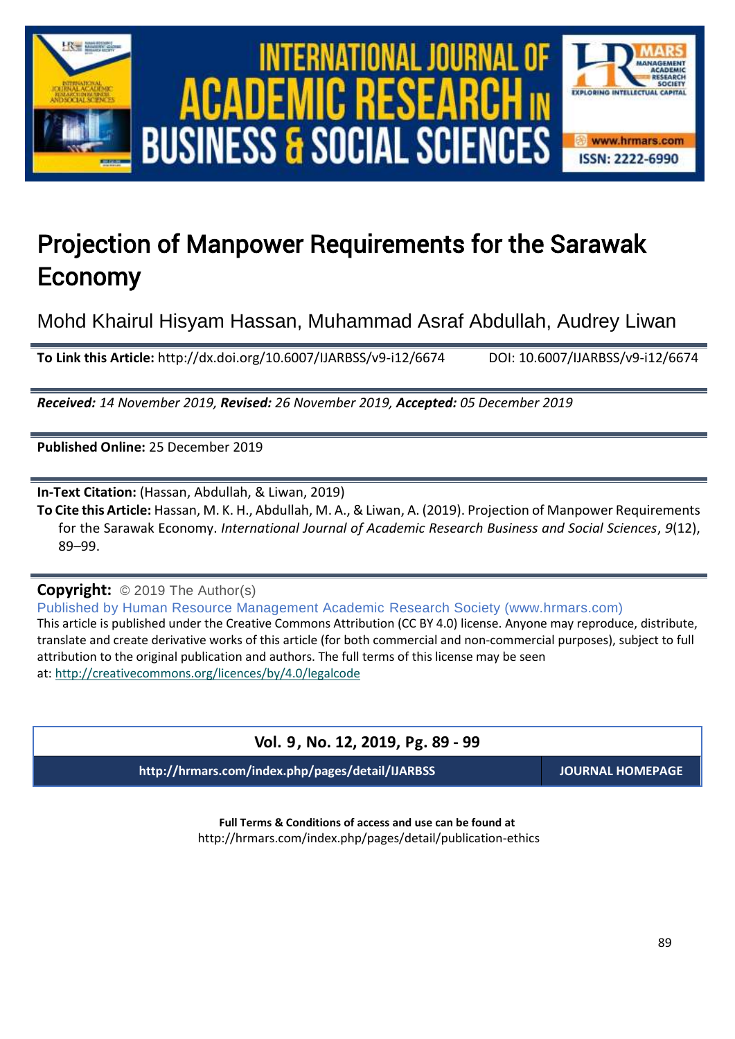

# **INTERNATIONAL JOURNAL OF ACCEPT Vol. 9 , No. 12, December, 2019, E-ISSN: 2222-6990 © 2019 HRMARS** ACADEMIC **BUSINESS & SOCIAL SCIENCES**



# Projection of Manpower Requirements for the Sarawak Economy

Mohd Khairul Hisyam Hassan, Muhammad Asraf Abdullah, Audrey Liwan

**To Link this Article:** http://dx.doi.org/10.6007/IJARBSS/v9-i12/6674 DOI: 10.6007/IJARBSS/v9-i12/6674

*Received: 14 November 2019, Revised: 26 November 2019, Accepted: 05 December 2019*

**Published Online:** 25 December 2019

**In-Text Citation:** (Hassan, Abdullah, & Liwan, 2019)

**To Cite this Article:** Hassan, M. K. H., Abdullah, M. A., & Liwan, A. (2019). Projection of Manpower Requirements for the Sarawak Economy. *International Journal of Academic Research Business and Social Sciences*, *9*(12), 89–99.

#### **Copyright:** © 2019 The Author(s)

Published by Human Resource Management Academic Research Society (www.hrmars.com) This article is published under the Creative Commons Attribution (CC BY 4.0) license. Anyone may reproduce, distribute, translate and create derivative works of this article (for both commercial and non-commercial purposes), subject to full attribution to the original publication and authors. The full terms of this license may be seen at: <http://creativecommons.org/licences/by/4.0/legalcode>

### **Vol. 9, No. 12, 2019, Pg. 89 - 99**

**http://hrmars.com/index.php/pages/detail/IJARBSS JOURNAL HOMEPAGE**

**Full Terms & Conditions of access and use can be found at** http://hrmars.com/index.php/pages/detail/publication-ethics